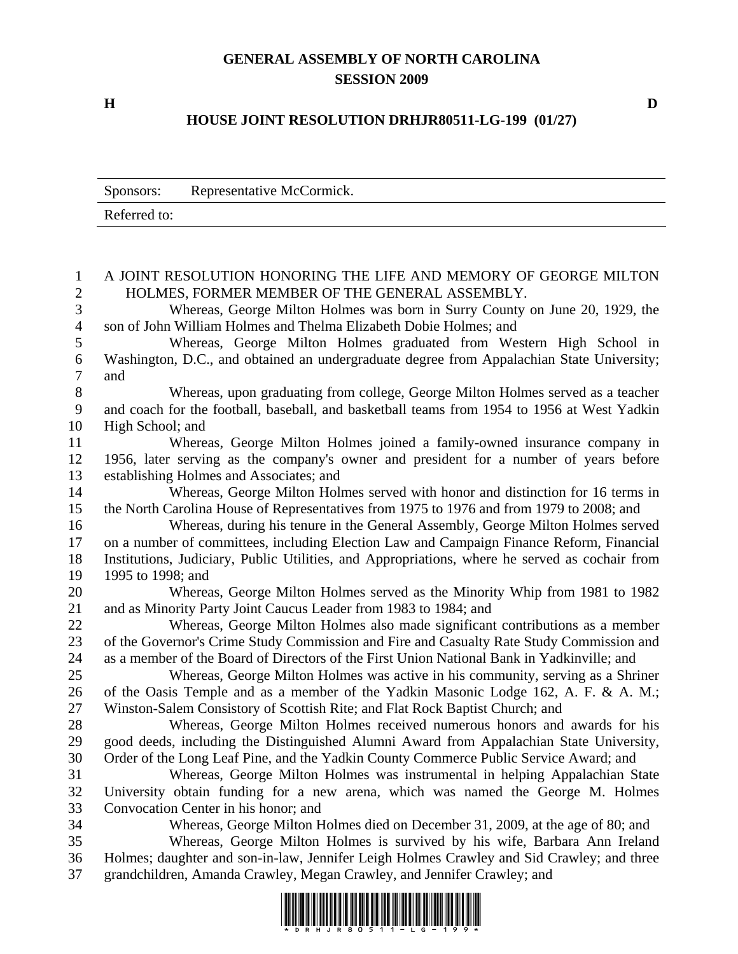## **GENERAL ASSEMBLY OF NORTH CAROLINA SESSION 2009**

## **HOUSE JOINT RESOLUTION DRHJR80511-LG-199 (01/27)**

|                     | Representative McCormick.<br>Sponsors:                                                                             |
|---------------------|--------------------------------------------------------------------------------------------------------------------|
|                     | Referred to:                                                                                                       |
|                     |                                                                                                                    |
| 1<br>$\overline{2}$ | A JOINT RESOLUTION HONORING THE LIFE AND MEMORY OF GEORGE MILTON<br>HOLMES, FORMER MEMBER OF THE GENERAL ASSEMBLY. |
| 3                   | Whereas, George Milton Holmes was born in Surry County on June 20, 1929, the                                       |
| $\overline{4}$      | son of John William Holmes and Thelma Elizabeth Dobie Holmes; and                                                  |
| 5                   | Whereas, George Milton Holmes graduated from Western High School in                                                |
| 6                   | Washington, D.C., and obtained an undergraduate degree from Appalachian State University;                          |
| 7                   | and                                                                                                                |
| 8                   | Whereas, upon graduating from college, George Milton Holmes served as a teacher                                    |
| 9                   | and coach for the football, baseball, and basketball teams from 1954 to 1956 at West Yadkin                        |
| 10                  | High School; and                                                                                                   |
| 11                  | Whereas, George Milton Holmes joined a family-owned insurance company in                                           |
| 12                  | 1956, later serving as the company's owner and president for a number of years before                              |
| 13                  | establishing Holmes and Associates; and                                                                            |
| 14                  | Whereas, George Milton Holmes served with honor and distinction for 16 terms in                                    |
| 15                  | the North Carolina House of Representatives from 1975 to 1976 and from 1979 to 2008; and                           |
| 16                  | Whereas, during his tenure in the General Assembly, George Milton Holmes served                                    |
| 17                  | on a number of committees, including Election Law and Campaign Finance Reform, Financial                           |
| 18                  | Institutions, Judiciary, Public Utilities, and Appropriations, where he served as cochair from                     |
| 19                  | 1995 to 1998; and                                                                                                  |
| 20                  | Whereas, George Milton Holmes served as the Minority Whip from 1981 to 1982                                        |
| 21                  | and as Minority Party Joint Caucus Leader from 1983 to 1984; and                                                   |
| 22                  | Whereas, George Milton Holmes also made significant contributions as a member                                      |
| 23                  | of the Governor's Crime Study Commission and Fire and Casualty Rate Study Commission and                           |
| 24                  | as a member of the Board of Directors of the First Union National Bank in Yadkinville; and                         |
| 25                  | Whereas, George Milton Holmes was active in his community, serving as a Shriner                                    |
| 26                  | of the Oasis Temple and as a member of the Yadkin Masonic Lodge 162, A. F. & A. M.;                                |
| 27                  | Winston-Salem Consistory of Scottish Rite; and Flat Rock Baptist Church; and                                       |
| 28                  | Whereas, George Milton Holmes received numerous honors and awards for his                                          |
| 29                  | good deeds, including the Distinguished Alumni Award from Appalachian State University,                            |
| 30                  | Order of the Long Leaf Pine, and the Yadkin County Commerce Public Service Award; and                              |
| 31                  | Whereas, George Milton Holmes was instrumental in helping Appalachian State                                        |
| 32                  | University obtain funding for a new arena, which was named the George M. Holmes                                    |
| 33                  | Convocation Center in his honor; and                                                                               |
| 34                  | Whereas, George Milton Holmes died on December 31, 2009, at the age of 80; and                                     |
| 35                  | Whereas, George Milton Holmes is survived by his wife, Barbara Ann Ireland                                         |
| 36                  | Holmes; daughter and son-in-law, Jennifer Leigh Holmes Crawley and Sid Crawley; and three                          |
| 37                  | grandchildren, Amanda Crawley, Megan Crawley, and Jennifer Crawley; and                                            |
|                     |                                                                                                                    |



**H D**